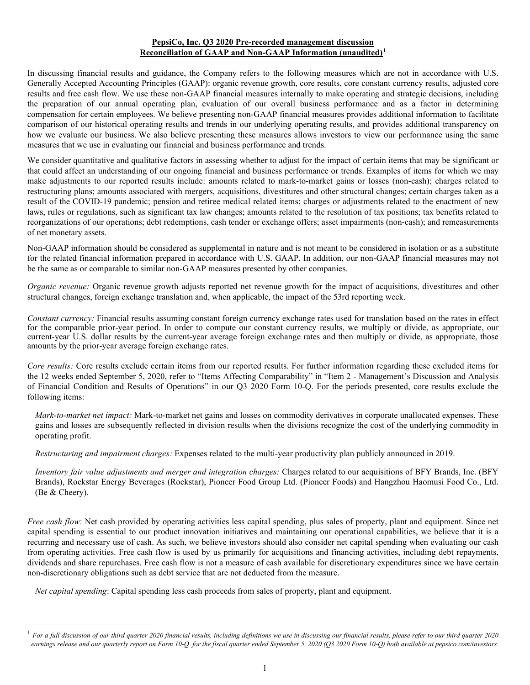## **PepsiCo, Inc. Q3 2020 Pre-recorded management discussion Reconciliation of GAAP and Non-GAAP Information (unaudited)[1](#page-0-0)**

In discussing financial results and guidance, the Company refers to the following measures which are not in accordance with U.S. Generally Accepted Accounting Principles (GAAP): organic revenue growth, core results, core constant currency results, adjusted core results and free cash flow. We use these non-GAAP financial measures internally to make operating and strategic decisions, including the preparation of our annual operating plan, evaluation of our overall business performance and as a factor in determining compensation for certain employees. We believe presenting non-GAAP financial measures provides additional information to facilitate comparison of our historical operating results and trends in our underlying operating results, and provides additional transparency on how we evaluate our business. We also believe presenting these measures allows investors to view our performance using the same measures that we use in evaluating our financial and business performance and trends.

We consider quantitative and qualitative factors in assessing whether to adjust for the impact of certain items that may be significant or that could affect an understanding of our ongoing financial and business performance or trends. Examples of items for which we may make adjustments to our reported results include: amounts related to mark-to-market gains or losses (non-cash); charges related to restructuring plans; amounts associated with mergers, acquisitions, divestitures and other structural changes; certain charges taken as a result of the COVID-19 pandemic; pension and retiree medical related items; charges or adjustments related to the enactment of new laws, rules or regulations, such as significant tax law changes; amounts related to the resolution of tax positions; tax benefits related to reorganizations of our operations; debt redemptions, cash tender or exchange offers; asset impairments (non-cash); and remeasurements of net monetary assets.

Non-GAAP information should be considered as supplemental in nature and is not meant to be considered in isolation or as a substitute for the related financial information prepared in accordance with U.S. GAAP. In addition, our non-GAAP financial measures may not be the same as or comparable to similar non-GAAP measures presented by other companies.

*Organic revenue:* Organic revenue growth adjusts reported net revenue growth for the impact of acquisitions, divestitures and other structural changes, foreign exchange translation and, when applicable, the impact of the 53rd reporting week.

*Constant currency:* Financial results assuming constant foreign currency exchange rates used for translation based on the rates in effect for the comparable prior-year period. In order to compute our constant currency results, we multiply or divide, as appropriate, our current-year U.S. dollar results by the current-year average foreign exchange rates and then multiply or divide, as appropriate, those amounts by the prior-year average foreign exchange rates.

*Core results:* Core results exclude certain items from our reported results. For further information regarding these excluded items for the 12 weeks ended September 5, 2020, refer to "Items Affecting Comparability" in "Item 2 - Management's Discussion and Analysis of Financial Condition and Results of Operations" in our Q3 2020 Form 10-Q. For the periods presented, core results exclude the following items:

*Mark-to-market net impact:* Mark-to-market net gains and losses on commodity derivatives in corporate unallocated expenses. These gains and losses are subsequently reflected in division results when the divisions recognize the cost of the underlying commodity in operating profit.

*Restructuring and impairment charges:* Expenses related to the multi-year productivity plan publicly announced in 2019.

*Inventory fair value adjustments and merger and integration charges:* Charges related to our acquisitions of BFY Brands, Inc. (BFY Brands), Rockstar Energy Beverages (Rockstar), Pioneer Food Group Ltd. (Pioneer Foods) and Hangzhou Haomusi Food Co., Ltd. (Be & Cheery).

*Free cash flow*: Net cash provided by operating activities less capital spending, plus sales of property, plant and equipment. Since net capital spending is essential to our product innovation initiatives and maintaining our operational capabilities, we believe that it is a recurring and necessary use of cash. As such, we believe investors should also consider net capital spending when evaluating our cash from operating activities. Free cash flow is used by us primarily for acquisitions and financing activities, including debt repayments, dividends and share repurchases. Free cash flow is not a measure of cash available for discretionary expenditures since we have certain non-discretionary obligations such as debt service that are not deducted from the measure.

*Net capital spending*: Capital spending less cash proceeds from sales of property, plant and equipment.

<span id="page-0-0"></span><sup>1</sup> *For a full discussion of our third quarter 2020 financial results, including definitions we use in discussing our financial results, please refer to our third quarter 2020 earnings release and our quarterly report on Form 10-Q for the fiscal quarter ended September 5, 2020 (Q3 2020 Form 10-Q) both available at pepsico.com/investors.*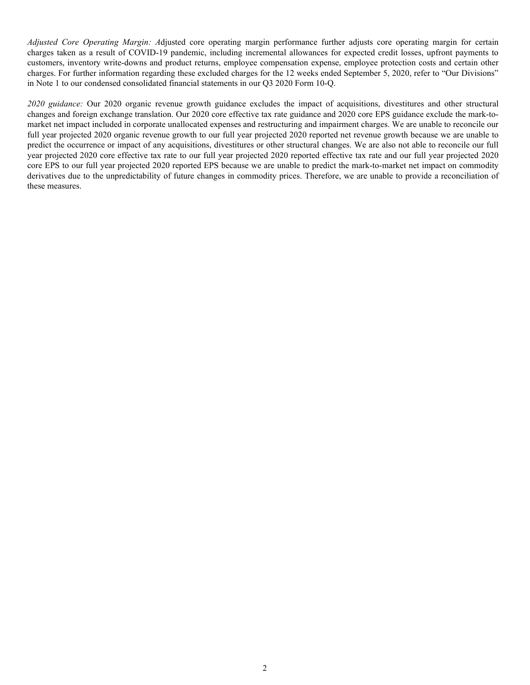*Adjusted Core Operating Margin: A*djusted core operating margin performance further adjusts core operating margin for certain charges taken as a result of COVID-19 pandemic, including incremental allowances for expected credit losses, upfront payments to customers, inventory write-downs and product returns, employee compensation expense, employee protection costs and certain other charges. For further information regarding these excluded charges for the 12 weeks ended September 5, 2020, refer to "Our Divisions" in Note 1 to our condensed consolidated financial statements in our Q3 2020 Form 10-Q.

*2020 guidance:* Our 2020 organic revenue growth guidance excludes the impact of acquisitions, divestitures and other structural changes and foreign exchange translation. Our 2020 core effective tax rate guidance and 2020 core EPS guidance exclude the mark-tomarket net impact included in corporate unallocated expenses and restructuring and impairment charges. We are unable to reconcile our full year projected 2020 organic revenue growth to our full year projected 2020 reported net revenue growth because we are unable to predict the occurrence or impact of any acquisitions, divestitures or other structural changes. We are also not able to reconcile our full year projected 2020 core effective tax rate to our full year projected 2020 reported effective tax rate and our full year projected 2020 core EPS to our full year projected 2020 reported EPS because we are unable to predict the mark-to-market net impact on commodity derivatives due to the unpredictability of future changes in commodity prices. Therefore, we are unable to provide a reconciliation of these measures.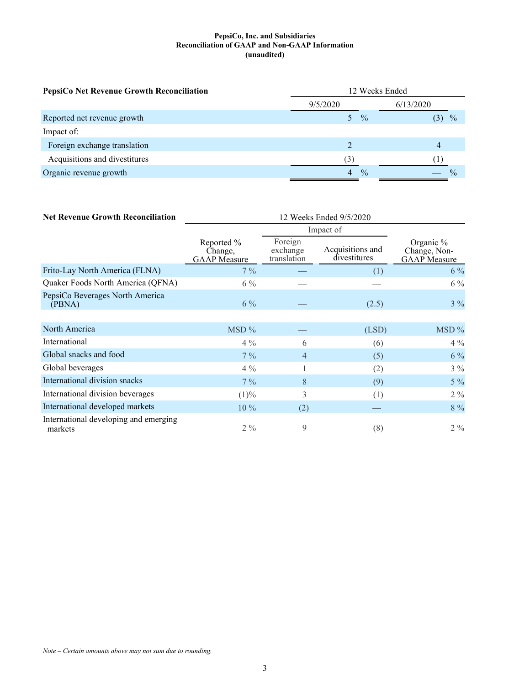### **PepsiCo, Inc. and Subsidiaries Reconciliation of GAAP and Non-GAAP Information (unaudited)**

| PepsiCo Net Revenue Growth Reconciliation | 12 Weeks Ended     |               |  |  |
|-------------------------------------------|--------------------|---------------|--|--|
|                                           | 9/5/2020           | 6/13/2020     |  |  |
| Reported net revenue growth               | $\frac{0}{0}$      | $\frac{0}{0}$ |  |  |
| Impact of:                                |                    |               |  |  |
| Foreign exchange translation              |                    | 4             |  |  |
| Acquisitions and divestitures             | (3)                |               |  |  |
| Organic revenue growth                    | $\frac{0}{0}$<br>4 |               |  |  |

| <b>Net Revenue Growth Reconciliation</b>         | 12 Weeks Ended 9/5/2020                      |                                    |                                  |                                                  |  |
|--------------------------------------------------|----------------------------------------------|------------------------------------|----------------------------------|--------------------------------------------------|--|
|                                                  |                                              |                                    |                                  |                                                  |  |
|                                                  | Reported %<br>Change,<br><b>GAAP</b> Measure | Foreign<br>exchange<br>translation | Acquisitions and<br>divestitures | Organic %<br>Change, Non-<br><b>GAAP</b> Measure |  |
| Frito-Lay North America (FLNA)                   | $7\%$                                        |                                    | (1)                              | $6\%$                                            |  |
| Quaker Foods North America (QFNA)                | $6\%$                                        |                                    |                                  | $6\%$                                            |  |
| PepsiCo Beverages North America<br>(PBNA)        | $6\%$                                        |                                    | (2.5)                            | $3\%$                                            |  |
|                                                  |                                              |                                    |                                  |                                                  |  |
| North America                                    | MSD%                                         |                                    | (LSD)                            | MSD%                                             |  |
| International                                    | $4\%$                                        | 6                                  | (6)                              | $4\%$                                            |  |
| Global snacks and food                           | $7\%$                                        | $\overline{4}$                     | (5)                              | $6\%$                                            |  |
| Global beverages                                 | $4\%$                                        | 1                                  | (2)                              | $3\%$                                            |  |
| International division snacks                    | $7\%$                                        | 8                                  | (9)                              | $5\%$                                            |  |
| International division beverages                 | (1)%                                         | 3                                  | (1)                              | $2\%$                                            |  |
| International developed markets                  | 10 %                                         | (2)                                |                                  | 8 %                                              |  |
| International developing and emerging<br>markets | $2\%$                                        | 9                                  | (8)                              | $2\%$                                            |  |

*Note – Certain amounts above may not sum due to rounding.*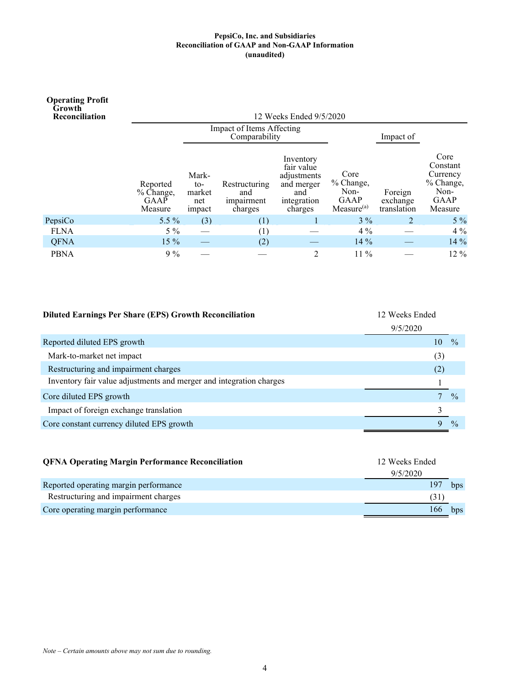#### **PepsiCo, Inc. and Subsidiaries Reconciliation of GAAP and Non-GAAP Information (unaudited)**

| <b>Operating Profit</b><br>Growth<br>Reconciliation |                                          |                                         |                                               | 12 Weeks Ended 9/5/2020                                                               |                                                                    |                                    |                                                                      |
|-----------------------------------------------------|------------------------------------------|-----------------------------------------|-----------------------------------------------|---------------------------------------------------------------------------------------|--------------------------------------------------------------------|------------------------------------|----------------------------------------------------------------------|
|                                                     |                                          |                                         | Impact of Items Affecting<br>Comparability    |                                                                                       |                                                                    | Impact of                          |                                                                      |
|                                                     | Reported<br>% Change,<br>GAAP<br>Measure | Mark-<br>to-<br>market<br>net<br>impact | Restructuring<br>and<br>impairment<br>charges | Inventory<br>fair value<br>adjustments<br>and merger<br>and<br>integration<br>charges | Core<br>% Change,<br>Non-<br><b>GAAP</b><br>Measure <sup>(a)</sup> | Foreign<br>exchange<br>translation | Core<br>Constant<br>Currency<br>% Change,<br>Non-<br>GAAP<br>Measure |
| PepsiCo                                             | $5.5\%$                                  | (3)                                     | (1)                                           |                                                                                       | $3\%$                                                              |                                    | $5\%$                                                                |
| <b>FLNA</b>                                         | $5\%$                                    |                                         | (1)                                           |                                                                                       | $4\%$                                                              |                                    | $4\%$                                                                |
| <b>QFNA</b>                                         | $15\%$                                   |                                         | (2)                                           |                                                                                       | $14\%$                                                             |                                    | 14 %                                                                 |
| <b>PBNA</b>                                         | $9\%$                                    |                                         |                                               | 2                                                                                     | $11\%$                                                             |                                    | 12 %                                                                 |

| <b>Diluted Earnings Per Share (EPS) Growth Reconciliation</b>       | 12 Weeks Ended |               |  |  |
|---------------------------------------------------------------------|----------------|---------------|--|--|
|                                                                     | 9/5/2020       |               |  |  |
| Reported diluted EPS growth                                         | 10             | $\frac{0}{0}$ |  |  |
| Mark-to-market net impact                                           | (3)            |               |  |  |
| Restructuring and impairment charges                                | (2)            |               |  |  |
| Inventory fair value adjustments and merger and integration charges |                |               |  |  |
| Core diluted EPS growth                                             |                | $\frac{0}{0}$ |  |  |
| Impact of foreign exchange translation                              |                |               |  |  |
| Core constant currency diluted EPS growth                           |                | $\frac{0}{0}$ |  |  |

| <b>QFNA Operating Margin Performance Reconciliation</b> | 12 Weeks Ended |     |  |  |
|---------------------------------------------------------|----------------|-----|--|--|
|                                                         | 9/5/2020       |     |  |  |
| Reported operating margin performance                   | 197            | bps |  |  |
| Restructuring and impairment charges                    | (31)           |     |  |  |
| Core operating margin performance                       | 166            | bps |  |  |

*Note – Certain amounts above may not sum due to rounding.*